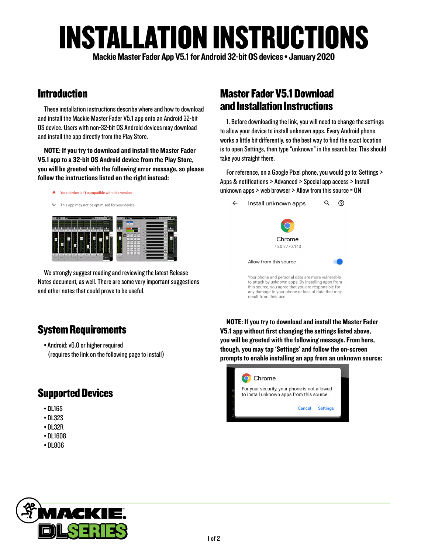# INSTALLATION INSTRUCTIONS

Mackie Master Fader App V5.1 for Android 32-bit OS devices • January 2020

## Introduction

These installation instructions describe where and how to download and install the Mackie Master Fader V5.1 app onto an Android 32-bit OS device. Users with non-32-bit OS Android devices may download and install the app directly from the Play Store.

NOTE: If you try to download and install the Master Fader V5.1 app to a 32-bit OS Android device from the Play Store, you will be greeted with the following error message, so please follow the instructions listed on the right instead:

A Your device isn't compatible with this version.



We strongly suggest reading and reviewing the latest Release Notes document, as well. There are some very important suggestions and other notes that could prove to be useful.

### Master Fader V5.1 Download and Installation Instructions

1. Before downloading the link, you will need to change the settings to allow your device to install unknown apps. Every Android phone works a little bit differently, so the best way to find the exact location is to open Settings, then type "unknown" in the search bar. This should take you straight there.

For reference, on a Google Pixel phone, you would go to: Settings > Apps & notifications > Advanced > Special app access > Install unknown apps > web browser > Allow from this source = ON



## System Requirements

• Android: v6.0 or higher required (requires the link on the following page to install)

## Supported Devices

- DL16S
- DL32S
- DL32R
- DL1608
- DL806

NOTE: If you try to download and install the Master Fader V5.1 app without first changing the settings listed above, you will be greeted with the following message. From here, though, you may tap 'Settings' and follow the on-screen prompts to enable installing an app from an unknown source: